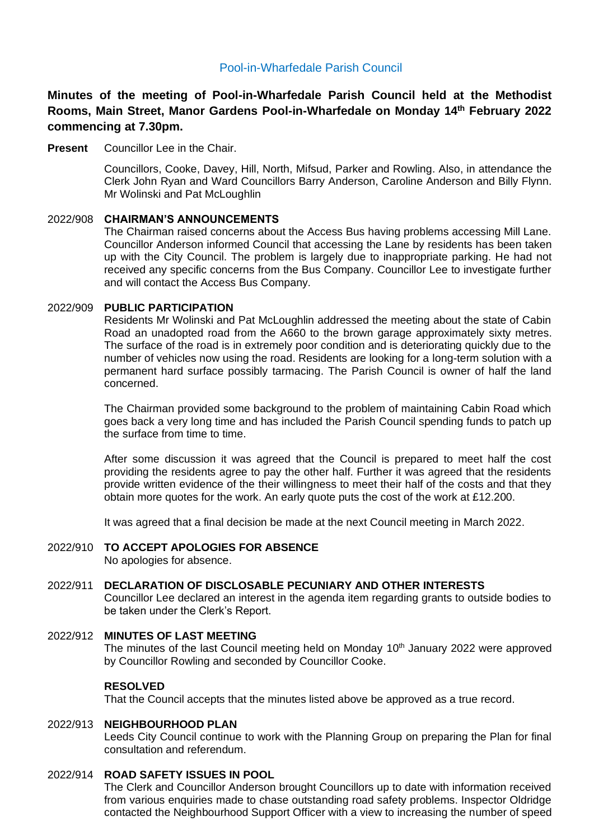# Pool-in-Wharfedale Parish Council

**Minutes of the meeting of Pool-in-Wharfedale Parish Council held at the Methodist Rooms, Main Street, Manor Gardens Pool-in-Wharfedale on Monday 14th February 2022 commencing at 7.30pm.** 

**Present** Councillor Lee in the Chair.

Councillors, Cooke, Davey, Hill, North, Mifsud, Parker and Rowling. Also, in attendance the Clerk John Ryan and Ward Councillors Barry Anderson, Caroline Anderson and Billy Flynn. Mr Wolinski and Pat McLoughlin

## 2022/908 **CHAIRMAN'S ANNOUNCEMENTS**

The Chairman raised concerns about the Access Bus having problems accessing Mill Lane. Councillor Anderson informed Council that accessing the Lane by residents has been taken up with the City Council. The problem is largely due to inappropriate parking. He had not received any specific concerns from the Bus Company. Councillor Lee to investigate further and will contact the Access Bus Company.

## 2022/909 **PUBLIC PARTICIPATION**

Residents Mr Wolinski and Pat McLoughlin addressed the meeting about the state of Cabin Road an unadopted road from the A660 to the brown garage approximately sixty metres. The surface of the road is in extremely poor condition and is deteriorating quickly due to the number of vehicles now using the road. Residents are looking for a long-term solution with a permanent hard surface possibly tarmacing. The Parish Council is owner of half the land concerned.

The Chairman provided some background to the problem of maintaining Cabin Road which goes back a very long time and has included the Parish Council spending funds to patch up the surface from time to time.

After some discussion it was agreed that the Council is prepared to meet half the cost providing the residents agree to pay the other half. Further it was agreed that the residents provide written evidence of the their willingness to meet their half of the costs and that they obtain more quotes for the work. An early quote puts the cost of the work at £12.200.

It was agreed that a final decision be made at the next Council meeting in March 2022.

#### 2022/910 **TO ACCEPT APOLOGIES FOR ABSENCE**  No apologies for absence.

## 2022/911 **DECLARATION OF DISCLOSABLE PECUNIARY AND OTHER INTERESTS**

Councillor Lee declared an interest in the agenda item regarding grants to outside bodies to be taken under the Clerk's Report.

#### 2022/912 **MINUTES OF LAST MEETING**

The minutes of the last Council meeting held on Monday 10<sup>th</sup> January 2022 were approved by Councillor Rowling and seconded by Councillor Cooke.

#### **RESOLVED**

That the Council accepts that the minutes listed above be approved as a true record.

## 2022/913 **NEIGHBOURHOOD PLAN**

Leeds City Council continue to work with the Planning Group on preparing the Plan for final consultation and referendum.

#### 2022/914 **ROAD SAFETY ISSUES IN POOL**

The Clerk and Councillor Anderson brought Councillors up to date with information received from various enquiries made to chase outstanding road safety problems. Inspector Oldridge contacted the Neighbourhood Support Officer with a view to increasing the number of speed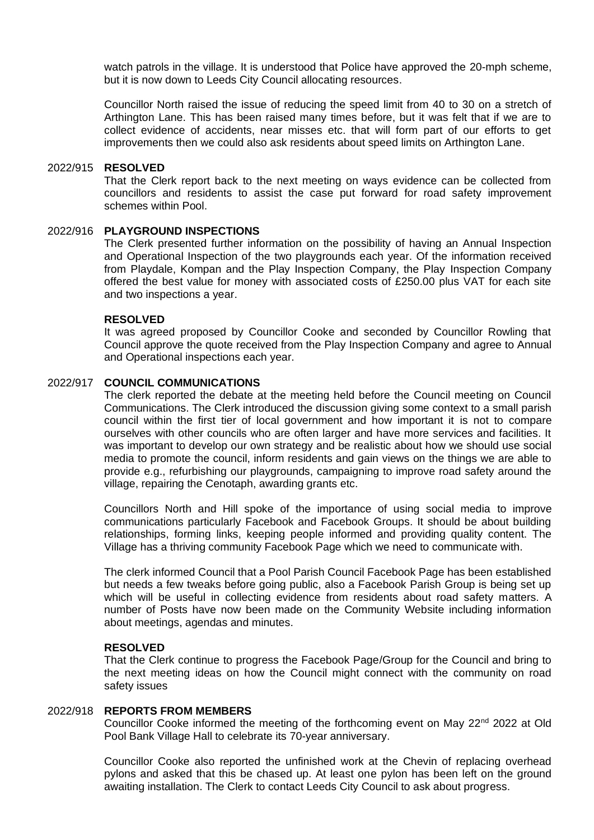watch patrols in the village. It is understood that Police have approved the 20-mph scheme, but it is now down to Leeds City Council allocating resources.

Councillor North raised the issue of reducing the speed limit from 40 to 30 on a stretch of Arthington Lane. This has been raised many times before, but it was felt that if we are to collect evidence of accidents, near misses etc. that will form part of our efforts to get improvements then we could also ask residents about speed limits on Arthington Lane.

#### 2022/915 **RESOLVED**

That the Clerk report back to the next meeting on ways evidence can be collected from councillors and residents to assist the case put forward for road safety improvement schemes within Pool.

### 2022/916 **PLAYGROUND INSPECTIONS**

The Clerk presented further information on the possibility of having an Annual Inspection and Operational Inspection of the two playgrounds each year. Of the information received from Playdale, Kompan and the Play Inspection Company, the Play Inspection Company offered the best value for money with associated costs of £250.00 plus VAT for each site and two inspections a year.

### **RESOLVED**

It was agreed proposed by Councillor Cooke and seconded by Councillor Rowling that Council approve the quote received from the Play Inspection Company and agree to Annual and Operational inspections each year.

#### 2022/917 **COUNCIL COMMUNICATIONS**

The clerk reported the debate at the meeting held before the Council meeting on Council Communications. The Clerk introduced the discussion giving some context to a small parish council within the first tier of local government and how important it is not to compare ourselves with other councils who are often larger and have more services and facilities. It was important to develop our own strategy and be realistic about how we should use social media to promote the council, inform residents and gain views on the things we are able to provide e.g., refurbishing our playgrounds, campaigning to improve road safety around the village, repairing the Cenotaph, awarding grants etc.

Councillors North and Hill spoke of the importance of using social media to improve communications particularly Facebook and Facebook Groups. It should be about building relationships, forming links, keeping people informed and providing quality content. The Village has a thriving community Facebook Page which we need to communicate with.

The clerk informed Council that a Pool Parish Council Facebook Page has been established but needs a few tweaks before going public, also a Facebook Parish Group is being set up which will be useful in collecting evidence from residents about road safety matters. A number of Posts have now been made on the Community Website including information about meetings, agendas and minutes.

#### **RESOLVED**

That the Clerk continue to progress the Facebook Page/Group for the Council and bring to the next meeting ideas on how the Council might connect with the community on road safety issues

#### 2022/918 **REPORTS FROM MEMBERS**

Councillor Cooke informed the meeting of the forthcoming event on May 22<sup>nd</sup> 2022 at Old Pool Bank Village Hall to celebrate its 70-year anniversary.

Councillor Cooke also reported the unfinished work at the Chevin of replacing overhead pylons and asked that this be chased up. At least one pylon has been left on the ground awaiting installation. The Clerk to contact Leeds City Council to ask about progress.